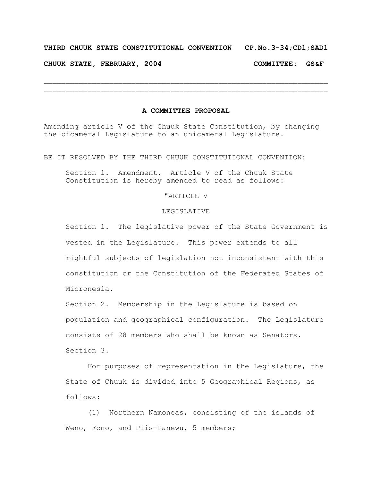# **THIRD CHUUK STATE CONSTITUTIONAL CONVENTION CP.No.3-34;CD1;SAD1**

**CHUUK STATE, FEBRUARY, 2004 COMMITTEE: GS&F**

#### **A COMMITTEE PROPOSAL**

 $\mathcal{L}_\text{max} = \mathcal{L}_\text{max} = \mathcal{L}_\text{max} = \mathcal{L}_\text{max} = \mathcal{L}_\text{max} = \mathcal{L}_\text{max} = \mathcal{L}_\text{max} = \mathcal{L}_\text{max} = \mathcal{L}_\text{max} = \mathcal{L}_\text{max} = \mathcal{L}_\text{max} = \mathcal{L}_\text{max} = \mathcal{L}_\text{max} = \mathcal{L}_\text{max} = \mathcal{L}_\text{max} = \mathcal{L}_\text{max} = \mathcal{L}_\text{max} = \mathcal{L}_\text{max} = \mathcal{$  $\mathcal{L}_\text{max} = \mathcal{L}_\text{max} = \mathcal{L}_\text{max} = \mathcal{L}_\text{max} = \mathcal{L}_\text{max} = \mathcal{L}_\text{max} = \mathcal{L}_\text{max} = \mathcal{L}_\text{max} = \mathcal{L}_\text{max} = \mathcal{L}_\text{max} = \mathcal{L}_\text{max} = \mathcal{L}_\text{max} = \mathcal{L}_\text{max} = \mathcal{L}_\text{max} = \mathcal{L}_\text{max} = \mathcal{L}_\text{max} = \mathcal{L}_\text{max} = \mathcal{L}_\text{max} = \mathcal{$ 

Amending article V of the Chuuk State Constitution, by changing the bicameral Legislature to an unicameral Legislature.

BE IT RESOLVED BY THE THIRD CHUUK CONSTITUTIONAL CONVENTION:

Section 1. Amendment. Article V of the Chuuk State Constitution is hereby amended to read as follows:

# "ARTICLE V

### LEGISLATIVE

Section 1. The legislative power of the State Government is vested in the Legislature. This power extends to all rightful subjects of legislation not inconsistent with this constitution or the Constitution of the Federated States of Micronesia.

Section 2. Membership in the Legislature is based on population and geographical configuration. The Legislature consists of 28 members who shall be known as Senators. Section 3.

For purposes of representation in the Legislature, the State of Chuuk is divided into 5 Geographical Regions, as follows:

(1) Northern Namoneas, consisting of the islands of Weno, Fono, and Piis-Panewu, 5 members;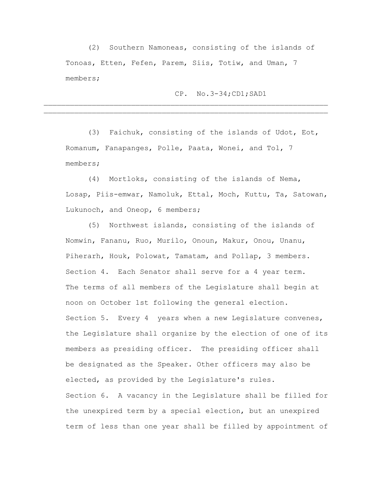(2) Southern Namoneas, consisting of the islands of Tonoas, Etten, Fefen, Parem, Siis, Totiw, and Uman, 7 members;

 $\mathcal{L}_\text{max} = \mathcal{L}_\text{max} = \mathcal{L}_\text{max} = \mathcal{L}_\text{max} = \mathcal{L}_\text{max} = \mathcal{L}_\text{max} = \mathcal{L}_\text{max} = \mathcal{L}_\text{max} = \mathcal{L}_\text{max} = \mathcal{L}_\text{max} = \mathcal{L}_\text{max} = \mathcal{L}_\text{max} = \mathcal{L}_\text{max} = \mathcal{L}_\text{max} = \mathcal{L}_\text{max} = \mathcal{L}_\text{max} = \mathcal{L}_\text{max} = \mathcal{L}_\text{max} = \mathcal{$  $\mathcal{L}_\text{max} = \mathcal{L}_\text{max} = \mathcal{L}_\text{max} = \mathcal{L}_\text{max} = \mathcal{L}_\text{max} = \mathcal{L}_\text{max} = \mathcal{L}_\text{max} = \mathcal{L}_\text{max} = \mathcal{L}_\text{max} = \mathcal{L}_\text{max} = \mathcal{L}_\text{max} = \mathcal{L}_\text{max} = \mathcal{L}_\text{max} = \mathcal{L}_\text{max} = \mathcal{L}_\text{max} = \mathcal{L}_\text{max} = \mathcal{L}_\text{max} = \mathcal{L}_\text{max} = \mathcal{$ 

# CP. No.3-34;CD1;SAD1

(3) Faichuk, consisting of the islands of Udot, Eot, Romanum, Fanapanges, Polle, Paata, Wonei, and Tol, 7 members;

(4) Mortloks, consisting of the islands of Nema, Losap, Piis-emwar, Namoluk, Ettal, Moch, Kuttu, Ta, Satowan, Lukunoch, and Oneop, 6 members;

(5) Northwest islands, consisting of the islands of Nomwin, Fananu, Ruo, Murilo, Onoun, Makur, Onou, Unanu, Piherarh, Houk, Polowat, Tamatam, and Pollap, 3 members. Section 4. Each Senator shall serve for a 4 year term. The terms of all members of the Legislature shall begin at noon on October 1st following the general election. Section 5. Every 4 years when a new Legislature convenes, the Legislature shall organize by the election of one of its members as presiding officer. The presiding officer shall be designated as the Speaker. Other officers may also be elected, as provided by the Legislature's rules. Section 6. A vacancy in the Legislature shall be filled for the unexpired term by a special election, but an unexpired term of less than one year shall be filled by appointment of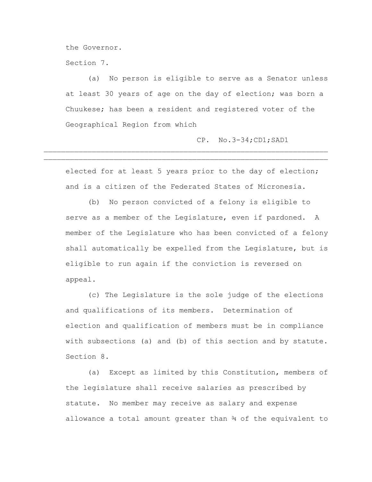the Governor.

Section 7.

(a) No person is eligible to serve as a Senator unless at least 30 years of age on the day of election; was born a Chuukese; has been a resident and registered voter of the Geographical Region from which

CP. No.3-34;CD1;SAD1

elected for at least 5 years prior to the day of election; and is a citizen of the Federated States of Micronesia.

 $\mathcal{L}_\text{max} = \mathcal{L}_\text{max} = \mathcal{L}_\text{max} = \mathcal{L}_\text{max} = \mathcal{L}_\text{max} = \mathcal{L}_\text{max} = \mathcal{L}_\text{max} = \mathcal{L}_\text{max} = \mathcal{L}_\text{max} = \mathcal{L}_\text{max} = \mathcal{L}_\text{max} = \mathcal{L}_\text{max} = \mathcal{L}_\text{max} = \mathcal{L}_\text{max} = \mathcal{L}_\text{max} = \mathcal{L}_\text{max} = \mathcal{L}_\text{max} = \mathcal{L}_\text{max} = \mathcal{$  $\mathcal{L}_\mathcal{L} = \mathcal{L}_\mathcal{L} = \mathcal{L}_\mathcal{L} = \mathcal{L}_\mathcal{L} = \mathcal{L}_\mathcal{L} = \mathcal{L}_\mathcal{L} = \mathcal{L}_\mathcal{L} = \mathcal{L}_\mathcal{L} = \mathcal{L}_\mathcal{L} = \mathcal{L}_\mathcal{L} = \mathcal{L}_\mathcal{L} = \mathcal{L}_\mathcal{L} = \mathcal{L}_\mathcal{L} = \mathcal{L}_\mathcal{L} = \mathcal{L}_\mathcal{L} = \mathcal{L}_\mathcal{L} = \mathcal{L}_\mathcal{L}$ 

(b) No person convicted of a felony is eligible to serve as a member of the Legislature, even if pardoned. A member of the Legislature who has been convicted of a felony shall automatically be expelled from the Legislature, but is eligible to run again if the conviction is reversed on appeal.

(c) The Legislature is the sole judge of the elections and qualifications of its members. Determination of election and qualification of members must be in compliance with subsections (a) and (b) of this section and by statute. Section 8.

(a) Except as limited by this Constitution, members of the legislature shall receive salaries as prescribed by statute. No member may receive as salary and expense allowance a total amount greater than  $\frac{3}{4}$  of the equivalent to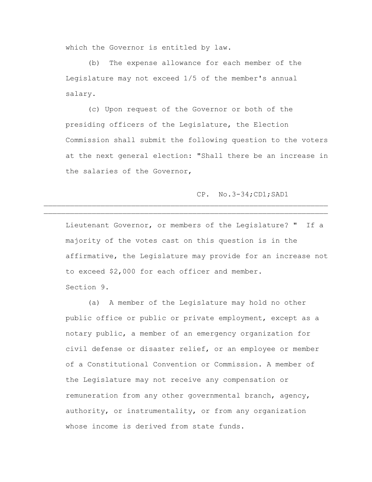which the Governor is entitled by law.

(b) The expense allowance for each member of the Legislature may not exceed 1/5 of the member's annual salary.

(c) Upon request of the Governor or both of the presiding officers of the Legislature, the Election Commission shall submit the following question to the voters at the next general election: "Shall there be an increase in the salaries of the Governor,

### CP. No.3-34;CD1;SAD1

Lieutenant Governor, or members of the Legislature? " If a majority of the votes cast on this question is in the affirmative, the Legislature may provide for an increase not to exceed \$2,000 for each officer and member. Section 9.

 $\mathcal{L}_\text{max} = \mathcal{L}_\text{max} = \mathcal{L}_\text{max} = \mathcal{L}_\text{max} = \mathcal{L}_\text{max} = \mathcal{L}_\text{max} = \mathcal{L}_\text{max} = \mathcal{L}_\text{max} = \mathcal{L}_\text{max} = \mathcal{L}_\text{max} = \mathcal{L}_\text{max} = \mathcal{L}_\text{max} = \mathcal{L}_\text{max} = \mathcal{L}_\text{max} = \mathcal{L}_\text{max} = \mathcal{L}_\text{max} = \mathcal{L}_\text{max} = \mathcal{L}_\text{max} = \mathcal{$  $\mathcal{L}_\mathcal{L} = \mathcal{L}_\mathcal{L} = \mathcal{L}_\mathcal{L} = \mathcal{L}_\mathcal{L} = \mathcal{L}_\mathcal{L} = \mathcal{L}_\mathcal{L} = \mathcal{L}_\mathcal{L} = \mathcal{L}_\mathcal{L} = \mathcal{L}_\mathcal{L} = \mathcal{L}_\mathcal{L} = \mathcal{L}_\mathcal{L} = \mathcal{L}_\mathcal{L} = \mathcal{L}_\mathcal{L} = \mathcal{L}_\mathcal{L} = \mathcal{L}_\mathcal{L} = \mathcal{L}_\mathcal{L} = \mathcal{L}_\mathcal{L}$ 

(a) A member of the Legislature may hold no other public office or public or private employment, except as a notary public, a member of an emergency organization for civil defense or disaster relief, or an employee or member of a Constitutional Convention or Commission. A member of the Legislature may not receive any compensation or remuneration from any other governmental branch, agency, authority, or instrumentality, or from any organization whose income is derived from state funds.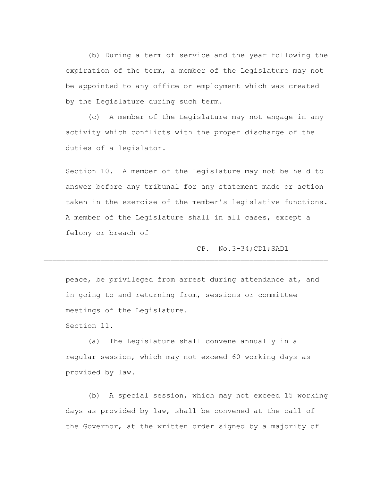(b) During a term of service and the year following the expiration of the term, a member of the Legislature may not be appointed to any office or employment which was created by the Legislature during such term.

(c) A member of the Legislature may not engage in any activity which conflicts with the proper discharge of the duties of a legislator.

Section 10. A member of the Legislature may not be held to answer before any tribunal for any statement made or action taken in the exercise of the member's legislative functions. A member of the Legislature shall in all cases, except a felony or breach of

CP. No.3-34;CD1;SAD1

peace, be privileged from arrest during attendance at, and in going to and returning from, sessions or committee meetings of the Legislature.

 $\mathcal{L}_\text{max} = \mathcal{L}_\text{max} = \mathcal{L}_\text{max} = \mathcal{L}_\text{max} = \mathcal{L}_\text{max} = \mathcal{L}_\text{max} = \mathcal{L}_\text{max} = \mathcal{L}_\text{max} = \mathcal{L}_\text{max} = \mathcal{L}_\text{max} = \mathcal{L}_\text{max} = \mathcal{L}_\text{max} = \mathcal{L}_\text{max} = \mathcal{L}_\text{max} = \mathcal{L}_\text{max} = \mathcal{L}_\text{max} = \mathcal{L}_\text{max} = \mathcal{L}_\text{max} = \mathcal{$  $\mathcal{L}_\text{max} = \mathcal{L}_\text{max} = \mathcal{L}_\text{max} = \mathcal{L}_\text{max} = \mathcal{L}_\text{max} = \mathcal{L}_\text{max} = \mathcal{L}_\text{max} = \mathcal{L}_\text{max} = \mathcal{L}_\text{max} = \mathcal{L}_\text{max} = \mathcal{L}_\text{max} = \mathcal{L}_\text{max} = \mathcal{L}_\text{max} = \mathcal{L}_\text{max} = \mathcal{L}_\text{max} = \mathcal{L}_\text{max} = \mathcal{L}_\text{max} = \mathcal{L}_\text{max} = \mathcal{$ 

Section 11.

(a) The Legislature shall convene annually in a regular session, which may not exceed 60 working days as provided by law.

(b) A special session, which may not exceed 15 working days as provided by law, shall be convened at the call of the Governor, at the written order signed by a majority of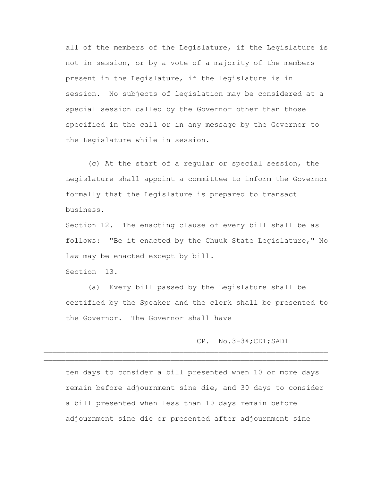all of the members of the Legislature, if the Legislature is not in session, or by a vote of a majority of the members present in the Legislature, if the legislature is in session. No subjects of legislation may be considered at a special session called by the Governor other than those specified in the call or in any message by the Governor to the Legislature while in session.

(c) At the start of a regular or special session, the Legislature shall appoint a committee to inform the Governor formally that the Legislature is prepared to transact business.

Section 12. The enacting clause of every bill shall be as follows: "Be it enacted by the Chuuk State Legislature," No law may be enacted except by bill.

Section 13.

(a) Every bill passed by the Legislature shall be certified by the Speaker and the clerk shall be presented to the Governor. The Governor shall have

CP. No.3-34;CD1;SAD1

ten days to consider a bill presented when 10 or more days remain before adjournment sine die, and 30 days to consider a bill presented when less than 10 days remain before adjournment sine die or presented after adjournment sine

 $\mathcal{L}_\text{max} = \mathcal{L}_\text{max} = \mathcal{L}_\text{max} = \mathcal{L}_\text{max} = \mathcal{L}_\text{max} = \mathcal{L}_\text{max} = \mathcal{L}_\text{max} = \mathcal{L}_\text{max} = \mathcal{L}_\text{max} = \mathcal{L}_\text{max} = \mathcal{L}_\text{max} = \mathcal{L}_\text{max} = \mathcal{L}_\text{max} = \mathcal{L}_\text{max} = \mathcal{L}_\text{max} = \mathcal{L}_\text{max} = \mathcal{L}_\text{max} = \mathcal{L}_\text{max} = \mathcal{$  $\mathcal{L}_\mathcal{L} = \mathcal{L}_\mathcal{L} = \mathcal{L}_\mathcal{L} = \mathcal{L}_\mathcal{L} = \mathcal{L}_\mathcal{L} = \mathcal{L}_\mathcal{L} = \mathcal{L}_\mathcal{L} = \mathcal{L}_\mathcal{L} = \mathcal{L}_\mathcal{L} = \mathcal{L}_\mathcal{L} = \mathcal{L}_\mathcal{L} = \mathcal{L}_\mathcal{L} = \mathcal{L}_\mathcal{L} = \mathcal{L}_\mathcal{L} = \mathcal{L}_\mathcal{L} = \mathcal{L}_\mathcal{L} = \mathcal{L}_\mathcal{L}$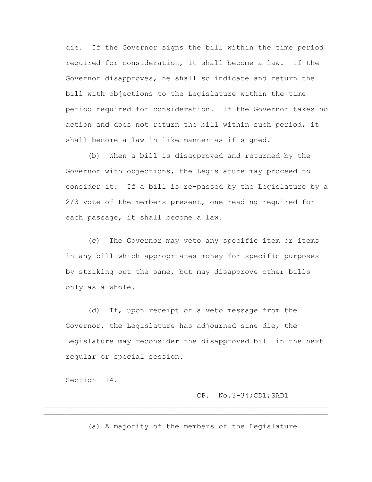die. If the Governor signs the bill within the time period required for consideration, it shall become a law. If the Governor disapproves, he shall so indicate and return the bill with objections to the Legislature within the time period required for consideration. If the Governor takes no action and does not return the bill within such period, it shall become a law in like manner as if signed.

(b) When a bill is disapproved and returned by the Governor with objections, the Legislature may proceed to consider it. If a bill is re-passed by the Legislature by a 2/3 vote of the members present, one reading required for each passage, it shall become a law.

(c) The Governor may veto any specific item or items in any bill which appropriates money for specific purposes by striking out the same, but may disapprove other bills only as a whole.

(d) If, upon receipt of a veto message from the Governor, the Legislature has adjourned sine die, the Legislature may reconsider the disapproved bill in the next regular or special session.

Section 14.

### CP. No.3-34;CD1;SAD1

(a) A majority of the members of the Legislature

 $\mathcal{L}_\text{max} = \mathcal{L}_\text{max} = \mathcal{L}_\text{max} = \mathcal{L}_\text{max} = \mathcal{L}_\text{max} = \mathcal{L}_\text{max} = \mathcal{L}_\text{max} = \mathcal{L}_\text{max} = \mathcal{L}_\text{max} = \mathcal{L}_\text{max} = \mathcal{L}_\text{max} = \mathcal{L}_\text{max} = \mathcal{L}_\text{max} = \mathcal{L}_\text{max} = \mathcal{L}_\text{max} = \mathcal{L}_\text{max} = \mathcal{L}_\text{max} = \mathcal{L}_\text{max} = \mathcal{$  $\mathcal{L}_\text{max} = \mathcal{L}_\text{max} = \mathcal{L}_\text{max} = \mathcal{L}_\text{max} = \mathcal{L}_\text{max} = \mathcal{L}_\text{max} = \mathcal{L}_\text{max} = \mathcal{L}_\text{max} = \mathcal{L}_\text{max} = \mathcal{L}_\text{max} = \mathcal{L}_\text{max} = \mathcal{L}_\text{max} = \mathcal{L}_\text{max} = \mathcal{L}_\text{max} = \mathcal{L}_\text{max} = \mathcal{L}_\text{max} = \mathcal{L}_\text{max} = \mathcal{L}_\text{max} = \mathcal{$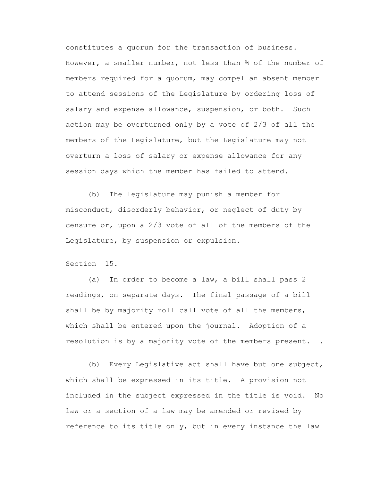constitutes a quorum for the transaction of business. However, a smaller number, not less than  $\frac{3}{4}$  of the number of members required for a quorum, may compel an absent member to attend sessions of the Legislature by ordering loss of salary and expense allowance, suspension, or both. Such action may be overturned only by a vote of 2/3 of all the members of the Legislature, but the Legislature may not overturn a loss of salary or expense allowance for any session days which the member has failed to attend.

(b) The legislature may punish a member for misconduct, disorderly behavior, or neglect of duty by censure or, upon a 2/3 vote of all of the members of the Legislature, by suspension or expulsion.

Section 15.

(a) In order to become a law, a bill shall pass 2 readings, on separate days. The final passage of a bill shall be by majority roll call vote of all the members, which shall be entered upon the journal. Adoption of a resolution is by a majority vote of the members present. .

(b) Every Legislative act shall have but one subject, which shall be expressed in its title. A provision not included in the subject expressed in the title is void. No law or a section of a law may be amended or revised by reference to its title only, but in every instance the law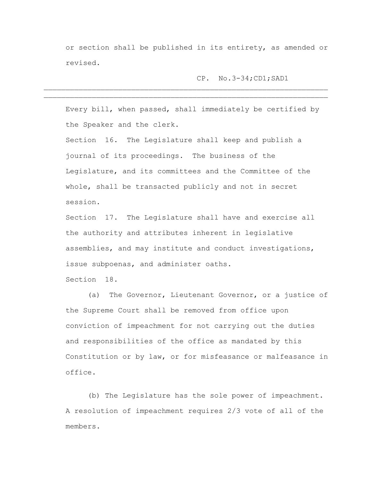or section shall be published in its entirety, as amended or revised.

CP. No.3-34;CD1;SAD1

Every bill, when passed, shall immediately be certified by the Speaker and the clerk.

 $\mathcal{L}_\text{max} = \mathcal{L}_\text{max} = \mathcal{L}_\text{max} = \mathcal{L}_\text{max} = \mathcal{L}_\text{max} = \mathcal{L}_\text{max} = \mathcal{L}_\text{max} = \mathcal{L}_\text{max} = \mathcal{L}_\text{max} = \mathcal{L}_\text{max} = \mathcal{L}_\text{max} = \mathcal{L}_\text{max} = \mathcal{L}_\text{max} = \mathcal{L}_\text{max} = \mathcal{L}_\text{max} = \mathcal{L}_\text{max} = \mathcal{L}_\text{max} = \mathcal{L}_\text{max} = \mathcal{$  $\mathcal{L}_\text{max} = \mathcal{L}_\text{max} = \mathcal{L}_\text{max} = \mathcal{L}_\text{max} = \mathcal{L}_\text{max} = \mathcal{L}_\text{max} = \mathcal{L}_\text{max} = \mathcal{L}_\text{max} = \mathcal{L}_\text{max} = \mathcal{L}_\text{max} = \mathcal{L}_\text{max} = \mathcal{L}_\text{max} = \mathcal{L}_\text{max} = \mathcal{L}_\text{max} = \mathcal{L}_\text{max} = \mathcal{L}_\text{max} = \mathcal{L}_\text{max} = \mathcal{L}_\text{max} = \mathcal{$ 

Section 16. The Legislature shall keep and publish a journal of its proceedings. The business of the Legislature, and its committees and the Committee of the whole, shall be transacted publicly and not in secret session.

Section 17. The Legislature shall have and exercise all the authority and attributes inherent in legislative assemblies, and may institute and conduct investigations, issue subpoenas, and administer oaths.

Section 18.

(a) The Governor, Lieutenant Governor, or a justice of the Supreme Court shall be removed from office upon conviction of impeachment for not carrying out the duties and responsibilities of the office as mandated by this Constitution or by law, or for misfeasance or malfeasance in office.

(b) The Legislature has the sole power of impeachment. A resolution of impeachment requires 2/3 vote of all of the members.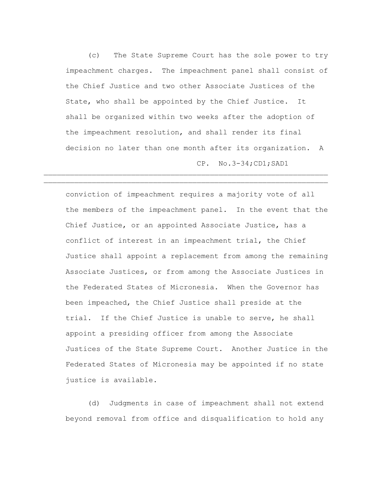(c) The State Supreme Court has the sole power to try impeachment charges. The impeachment panel shall consist of the Chief Justice and two other Associate Justices of the State, who shall be appointed by the Chief Justice. It shall be organized within two weeks after the adoption of the impeachment resolution, and shall render its final decision no later than one month after its organization. A CP. No.3-34;CD1;SAD1

 $\mathcal{L}_\text{max} = \mathcal{L}_\text{max} = \mathcal{L}_\text{max} = \mathcal{L}_\text{max} = \mathcal{L}_\text{max} = \mathcal{L}_\text{max} = \mathcal{L}_\text{max} = \mathcal{L}_\text{max} = \mathcal{L}_\text{max} = \mathcal{L}_\text{max} = \mathcal{L}_\text{max} = \mathcal{L}_\text{max} = \mathcal{L}_\text{max} = \mathcal{L}_\text{max} = \mathcal{L}_\text{max} = \mathcal{L}_\text{max} = \mathcal{L}_\text{max} = \mathcal{L}_\text{max} = \mathcal{$ 

conviction of impeachment requires a majority vote of all the members of the impeachment panel. In the event that the Chief Justice, or an appointed Associate Justice, has a conflict of interest in an impeachment trial, the Chief Justice shall appoint a replacement from among the remaining Associate Justices, or from among the Associate Justices in the Federated States of Micronesia. When the Governor has been impeached, the Chief Justice shall preside at the trial. If the Chief Justice is unable to serve, he shall appoint a presiding officer from among the Associate Justices of the State Supreme Court. Another Justice in the Federated States of Micronesia may be appointed if no state justice is available.

(d) Judgments in case of impeachment shall not extend beyond removal from office and disqualification to hold any